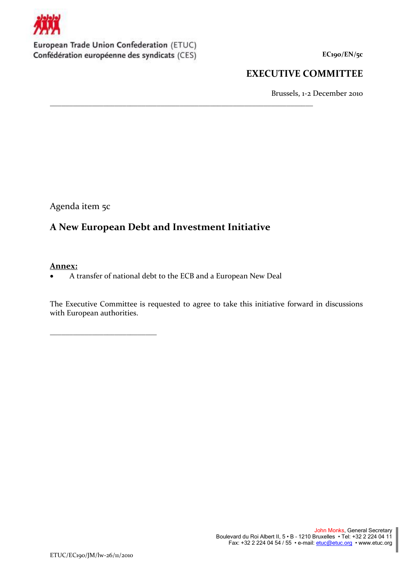

European Trade Union Confederation (ETUC) Confédération européenne des syndicats (CES)

**EC190/EN/5c**

## **EXECUTIVE COMMITTEE**

Brussels, 1-2 December 2010

Agenda item 5c

\_\_\_\_\_\_\_\_\_\_\_\_\_\_\_\_\_\_\_\_\_\_\_\_\_\_\_\_

# **A New European Debt and Investment Initiative**

\_\_\_\_\_\_\_\_\_\_\_\_\_\_\_\_\_\_\_\_\_\_\_\_\_\_\_\_\_\_\_\_\_\_\_\_\_\_\_\_\_\_\_\_\_\_\_\_\_\_\_\_\_\_\_\_\_\_\_\_\_\_\_\_\_\_\_\_\_

## **Annex:**

A transfer of national debt to the ECB and a European New Deal

The Executive Committee is requested to agree to take this initiative forward in discussions with European authorities.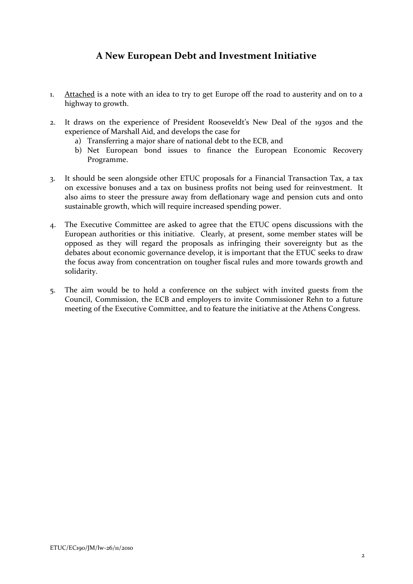# **A New European Debt and Investment Initiative**

- 1. Attached is a note with an idea to try to get Europe off the road to austerity and on to a highway to growth.
- 2. It draws on the experience of President Rooseveldt's New Deal of the 1930s and the experience of Marshall Aid, and develops the case for
	- a) Transferring a major share of national debt to the ECB, and
	- b) Net European bond issues to finance the European Economic Recovery Programme.
- 3. It should be seen alongside other ETUC proposals for a Financial Transaction Tax, a tax on excessive bonuses and a tax on business profits not being used for reinvestment. It also aims to steer the pressure away from deflationary wage and pension cuts and onto sustainable growth, which will require increased spending power.
- 4. The Executive Committee are asked to agree that the ETUC opens discussions with the European authorities or this initiative. Clearly, at present, some member states will be opposed as they will regard the proposals as infringing their sovereignty but as the debates about economic governance develop, it is important that the ETUC seeks to draw the focus away from concentration on tougher fiscal rules and more towards growth and solidarity.
- 5. The aim would be to hold a conference on the subject with invited guests from the Council, Commission, the ECB and employers to invite Commissioner Rehn to a future meeting of the Executive Committee, and to feature the initiative at the Athens Congress.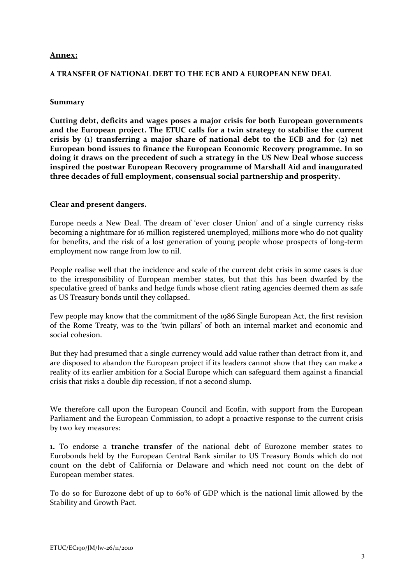#### **Annex:**

#### **A TRANSFER OF NATIONAL DEBT TO THE ECB AND A EUROPEAN NEW DEAL**

#### **Summary**

**Cutting debt, deficits and wages poses a major crisis for both European governments and the European project. The ETUC calls for a twin strategy to stabilise the current crisis by (1) transferring a major share of national debt to the ECB and for (2) net European bond issues to finance the European Economic Recovery programme. In so doing it draws on the precedent of such a strategy in the US New Deal whose success inspired the postwar European Recovery programme of Marshall Aid and inaugurated three decades of full employment, consensual social partnership and prosperity.**

#### **Clear and present dangers.**

Europe needs a New Deal. The dream of 'ever closer Union' and of a single currency risks becoming a nightmare for 16 million registered unemployed, millions more who do not quality for benefits, and the risk of a lost generation of young people whose prospects of long-term employment now range from low to nil.

People realise well that the incidence and scale of the current debt crisis in some cases is due to the irresponsibility of European member states, but that this has been dwarfed by the speculative greed of banks and hedge funds whose client rating agencies deemed them as safe as US Treasury bonds until they collapsed.

Few people may know that the commitment of the 1986 Single European Act, the first revision of the Rome Treaty, was to the 'twin pillars' of both an internal market and economic and social cohesion.

But they had presumed that a single currency would add value rather than detract from it, and are disposed to abandon the European project if its leaders cannot show that they can make a reality of its earlier ambition for a Social Europe which can safeguard them against a financial crisis that risks a double dip recession, if not a second slump.

We therefore call upon the European Council and Ecofin, with support from the European Parliament and the European Commission, to adopt a proactive response to the current crisis by two key measures:

**1.** To endorse a **tranche transfer** of the national debt of Eurozone member states to Eurobonds held by the European Central Bank similar to US Treasury Bonds which do not count on the debt of California or Delaware and which need not count on the debt of European member states.

To do so for Eurozone debt of up to 60% of GDP which is the national limit allowed by the Stability and Growth Pact.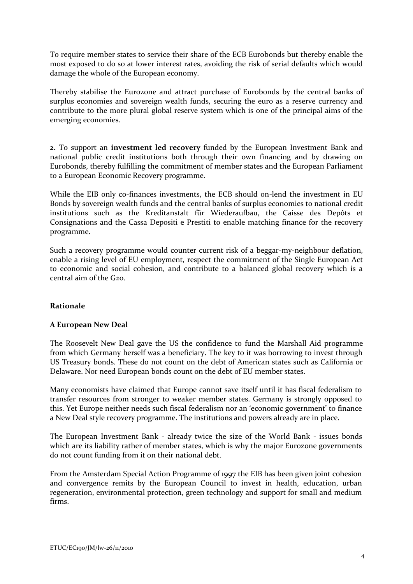To require member states to service their share of the ECB Eurobonds but thereby enable the most exposed to do so at lower interest rates, avoiding the risk of serial defaults which would damage the whole of the European economy.

Thereby stabilise the Eurozone and attract purchase of Eurobonds by the central banks of surplus economies and sovereign wealth funds, securing the euro as a reserve currency and contribute to the more plural global reserve system which is one of the principal aims of the emerging economies.

**2.** To support an **investment led recovery** funded by the European Investment Bank and national public credit institutions both through their own financing and by drawing on Eurobonds, thereby fulfilling the commitment of member states and the European Parliament to a European Economic Recovery programme.

While the EIB only co-finances investments, the ECB should on-lend the investment in EU Bonds by sovereign wealth funds and the central banks of surplus economies to national credit institutions such as the Kreditanstalt für Wiederaufbau, the Caisse des Depôts et Consignations and the Cassa Depositi e Prestiti to enable matching finance for the recovery programme.

Such a recovery programme would counter current risk of a beggar-my-neighbour deflation, enable a rising level of EU employment, respect the commitment of the Single European Act to economic and social cohesion, and contribute to a balanced global recovery which is a central aim of the G20.

### **Rationale**

### **A European New Deal**

The Roosevelt New Deal gave the US the confidence to fund the Marshall Aid programme from which Germany herself was a beneficiary. The key to it was borrowing to invest through US Treasury bonds. These do not count on the debt of American states such as California or Delaware. Nor need European bonds count on the debt of EU member states.

Many economists have claimed that Europe cannot save itself until it has fiscal federalism to transfer resources from stronger to weaker member states. Germany is strongly opposed to this. Yet Europe neither needs such fiscal federalism nor an 'economic government' to finance a New Deal style recovery programme. The institutions and powers already are in place.

The European Investment Bank - already twice the size of the World Bank - issues bonds which are its liability rather of member states, which is why the major Eurozone governments do not count funding from it on their national debt.

From the Amsterdam Special Action Programme of 1997 the EIB has been given joint cohesion and convergence remits by the European Council to invest in health, education, urban regeneration, environmental protection, green technology and support for small and medium firms.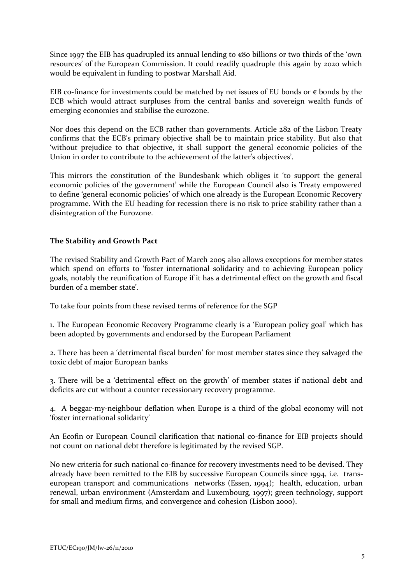Since 1997 the EIB has quadrupled its annual lending to  $\epsilon$ 80 billions or two thirds of the 'own resources' of the European Commission. It could readily quadruple this again by 2020 which would be equivalent in funding to postwar Marshall Aid.

EIB co-finance for investments could be matched by net issues of EU bonds or  $\epsilon$  bonds by the ECB which would attract surpluses from the central banks and sovereign wealth funds of emerging economies and stabilise the eurozone.

Nor does this depend on the ECB rather than governments. Article 282 of the Lisbon Treaty confirms that the ECB's primary objective shall be to maintain price stability. But also that 'without prejudice to that objective, it shall support the general economic policies of the Union in order to contribute to the achievement of the latter's objectives'.

This mirrors the constitution of the Bundesbank which obliges it 'to support the general economic policies of the government' while the European Council also is Treaty empowered to define 'general economic policies' of which one already is the European Economic Recovery programme. With the EU heading for recession there is no risk to price stability rather than a disintegration of the Eurozone.

## **The Stability and Growth Pact**

The revised Stability and Growth Pact of March 2005 also allows exceptions for member states which spend on efforts to 'foster international solidarity and to achieving European policy goals, notably the reunification of Europe if it has a detrimental effect on the growth and fiscal burden of a member state'.

To take four points from these revised terms of reference for the SGP

1. The European Economic Recovery Programme clearly is a 'European policy goal' which has been adopted by governments and endorsed by the European Parliament

2. There has been a 'detrimental fiscal burden' for most member states since they salvaged the toxic debt of major European banks

3. There will be a 'detrimental effect on the growth' of member states if national debt and deficits are cut without a counter recessionary recovery programme.

4. A beggar-my-neighbour deflation when Europe is a third of the global economy will not 'foster international solidarity'

An Ecofin or European Council clarification that national co-finance for EIB projects should not count on national debt therefore is legitimated by the revised SGP.

No new criteria for such national co-finance for recovery investments need to be devised. They already have been remitted to the EIB by successive European Councils since 1994, i.e. transeuropean transport and communications networks (Essen, 1994); health, education, urban renewal, urban environment (Amsterdam and Luxembourg, 1997); green technology, support for small and medium firms, and convergence and cohesion (Lisbon 2000).